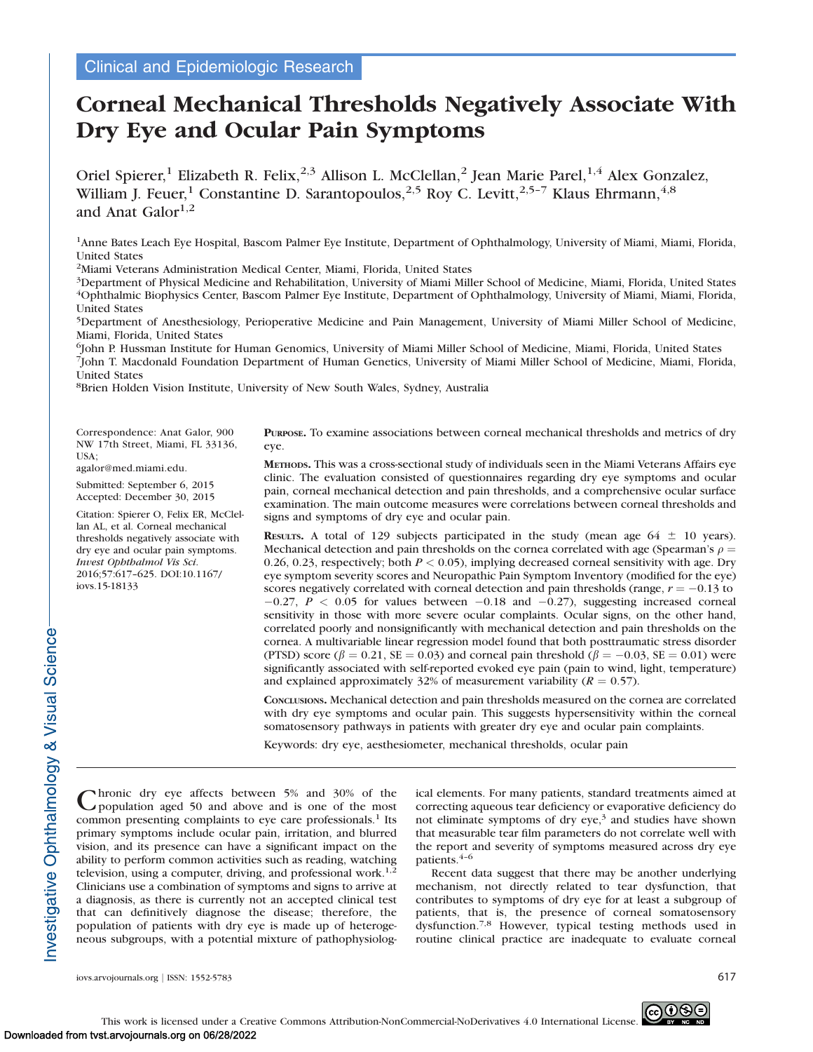# Corneal Mechanical Thresholds Negatively Associate With Dry Eye and Ocular Pain Symptoms

Oriel Spierer,<sup>1</sup> Elizabeth R. Felix,<sup>2,3</sup> Allison L. McClellan,<sup>2</sup> Jean Marie Parel,<sup>1,4</sup> Alex Gonzalez, William J. Feuer,<sup>1</sup> Constantine D. Sarantopoulos,<sup>2,5</sup> Roy C. Levitt,<sup>2,5-7</sup> Klaus Ehrmann,<sup>4,8</sup> and Anat Galor $1,2$ 

1Anne Bates Leach Eye Hospital, Bascom Palmer Eye Institute, Department of Ophthalmology, University of Miami, Miami, Florida, United States

2Miami Veterans Administration Medical Center, Miami, Florida, United States

3Department of Physical Medicine and Rehabilitation, University of Miami Miller School of Medicine, Miami, Florida, United States 4Ophthalmic Biophysics Center, Bascom Palmer Eye Institute, Department of Ophthalmology, University of Miami, Miami, Florida, United States

5Department of Anesthesiology, Perioperative Medicine and Pain Management, University of Miami Miller School of Medicine, Miami, Florida, United States

6John P. Hussman Institute for Human Genomics, University of Miami Miller School of Medicine, Miami, Florida, United States 7John T. Macdonald Foundation Department of Human Genetics, University of Miami Miller School of Medicine, Miami, Florida, United States

8Brien Holden Vision Institute, University of New South Wales, Sydney, Australia

Correspondence: Anat Galor, 900 NW 17th Street, Miami, FL 33136, USA;

agalor@med.miami.edu.

Submitted: September 6, 2015 Accepted: December 30, 2015

Citation: Spierer O, Felix ER, McClellan AL, et al. Corneal mechanical thresholds negatively associate with dry eye and ocular pain symptoms. Invest Ophthalmol Vis Sci. 2016;57:617–625. DOI:10.1167/ iovs.15-18133

PURPOSE. To examine associations between corneal mechanical thresholds and metrics of dry eye.

METHODS. This was a cross-sectional study of individuals seen in the Miami Veterans Affairs eye clinic. The evaluation consisted of questionnaires regarding dry eye symptoms and ocular pain, corneal mechanical detection and pain thresholds, and a comprehensive ocular surface examination. The main outcome measures were correlations between corneal thresholds and signs and symptoms of dry eye and ocular pain.

**RESULTS.** A total of 129 subjects participated in the study (mean age  $64 \pm 10$  years). Mechanical detection and pain thresholds on the cornea correlated with age (Spearman's  $\rho =$ 0.26, 0.23, respectively; both  $P < 0.05$ ), implying decreased corneal sensitivity with age. Dry eye symptom severity scores and Neuropathic Pain Symptom Inventory (modified for the eye) scores negatively correlated with corneal detection and pain thresholds (range,  $r = -0.13$  to  $-0.27$ ,  $P < 0.05$  for values between  $-0.18$  and  $-0.27$ ), suggesting increased corneal sensitivity in those with more severe ocular complaints. Ocular signs, on the other hand, correlated poorly and nonsignificantly with mechanical detection and pain thresholds on the cornea. A multivariable linear regression model found that both posttraumatic stress disorder (PTSD) score ( $\beta = 0.21$ , SE = 0.03) and corneal pain threshold ( $\beta = -0.03$ , SE = 0.01) were significantly associated with self-reported evoked eye pain (pain to wind, light, temperature) and explained approximately 32% of measurement variability ( $R = 0.57$ ).

CONCLUSIONS. Mechanical detection and pain thresholds measured on the cornea are correlated with dry eye symptoms and ocular pain. This suggests hypersensitivity within the corneal somatosensory pathways in patients with greater dry eye and ocular pain complaints.

Keywords: dry eye, aesthesiometer, mechanical thresholds, ocular pain

Chronic dry eye affects between 5% and 30% of the population aged 50 and above and is one of the most common presenting complaints to eye care professionals.<sup>1</sup> Its primary symptoms include ocular pain, irritation, and blurred vision, and its presence can have a significant impact on the ability to perform common activities such as reading, watching television, using a computer, driving, and professional work.<sup>1,2</sup> Clinicians use a combination of symptoms and signs to arrive at a diagnosis, as there is currently not an accepted clinical test that can definitively diagnose the disease; therefore, the population of patients with dry eye is made up of heterogeneous subgroups, with a potential mixture of pathophysiolog-

ical elements. For many patients, standard treatments aimed at correcting aqueous tear deficiency or evaporative deficiency do not eliminate symptoms of dry  $eye$ ,<sup>3</sup> and studies have shown that measurable tear film parameters do not correlate well with the report and severity of symptoms measured across dry eye patients.4–6

Recent data suggest that there may be another underlying mechanism, not directly related to tear dysfunction, that contributes to symptoms of dry eye for at least a subgroup of patients, that is, the presence of corneal somatosensory dysfunction.7,8 However, typical testing methods used in routine clinical practice are inadequate to evaluate corneal

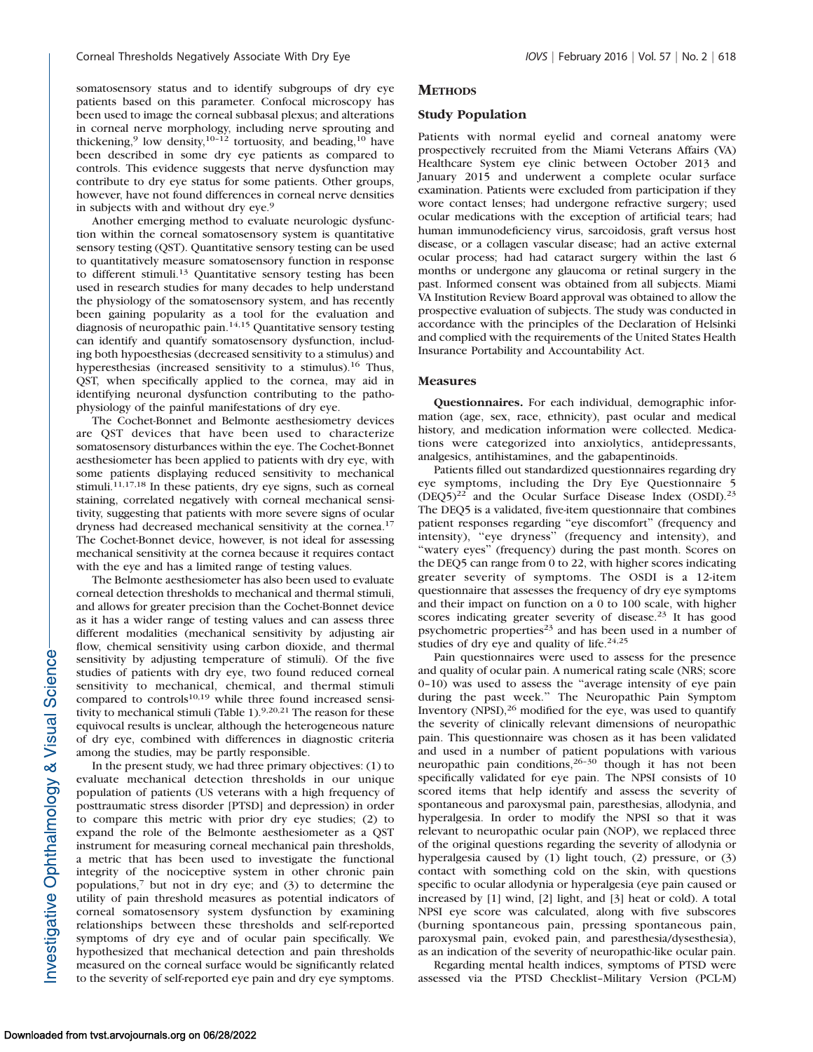somatosensory status and to identify subgroups of dry eye patients based on this parameter. Confocal microscopy has been used to image the corneal subbasal plexus; and alterations in corneal nerve morphology, including nerve sprouting and thickening,<sup>9</sup> low density,<sup>10-12</sup> tortuosity, and beading,<sup>10</sup> have been described in some dry eye patients as compared to controls. This evidence suggests that nerve dysfunction may contribute to dry eye status for some patients. Other groups, however, have not found differences in corneal nerve densities in subjects with and without dry eye.<sup>9</sup>

Another emerging method to evaluate neurologic dysfunction within the corneal somatosensory system is quantitative sensory testing (QST). Quantitative sensory testing can be used to quantitatively measure somatosensory function in response to different stimuli.<sup>13</sup> Quantitative sensory testing has been used in research studies for many decades to help understand the physiology of the somatosensory system, and has recently been gaining popularity as a tool for the evaluation and diagnosis of neuropathic pain.14,15 Quantitative sensory testing can identify and quantify somatosensory dysfunction, including both hypoesthesias (decreased sensitivity to a stimulus) and hyperesthesias (increased sensitivity to a stimulus).<sup>16</sup> Thus, QST, when specifically applied to the cornea, may aid in identifying neuronal dysfunction contributing to the pathophysiology of the painful manifestations of dry eye.

The Cochet-Bonnet and Belmonte aesthesiometry devices are QST devices that have been used to characterize somatosensory disturbances within the eye. The Cochet-Bonnet aesthesiometer has been applied to patients with dry eye, with some patients displaying reduced sensitivity to mechanical stimuli.<sup>11,17,18</sup> In these patients, dry eye signs, such as corneal staining, correlated negatively with corneal mechanical sensitivity, suggesting that patients with more severe signs of ocular dryness had decreased mechanical sensitivity at the cornea.17 The Cochet-Bonnet device, however, is not ideal for assessing mechanical sensitivity at the cornea because it requires contact with the eye and has a limited range of testing values.

The Belmonte aesthesiometer has also been used to evaluate corneal detection thresholds to mechanical and thermal stimuli, and allows for greater precision than the Cochet-Bonnet device as it has a wider range of testing values and can assess three different modalities (mechanical sensitivity by adjusting air flow, chemical sensitivity using carbon dioxide, and thermal sensitivity by adjusting temperature of stimuli). Of the five studies of patients with dry eye, two found reduced corneal sensitivity to mechanical, chemical, and thermal stimuli compared to controls<sup>10,19</sup> while three found increased sensitivity to mechanical stimuli (Table 1).<sup>9,20,21</sup> The reason for these equivocal results is unclear, although the heterogeneous nature of dry eye, combined with differences in diagnostic criteria among the studies, may be partly responsible.

In the present study, we had three primary objectives: (1) to evaluate mechanical detection thresholds in our unique population of patients (US veterans with a high frequency of posttraumatic stress disorder [PTSD] and depression) in order to compare this metric with prior dry eye studies; (2) to expand the role of the Belmonte aesthesiometer as a QST instrument for measuring corneal mechanical pain thresholds, a metric that has been used to investigate the functional integrity of the nociceptive system in other chronic pain populations, $\bar{z}$  but not in dry eye; and (3) to determine the utility of pain threshold measures as potential indicators of corneal somatosensory system dysfunction by examining relationships between these thresholds and self-reported symptoms of dry eye and of ocular pain specifically. We hypothesized that mechanical detection and pain thresholds measured on the corneal surface would be significantly related to the severity of self-reported eye pain and dry eye symptoms.

#### **METHODS**

## Study Population

Patients with normal eyelid and corneal anatomy were prospectively recruited from the Miami Veterans Affairs (VA) Healthcare System eye clinic between October 2013 and January 2015 and underwent a complete ocular surface examination. Patients were excluded from participation if they wore contact lenses; had undergone refractive surgery; used ocular medications with the exception of artificial tears; had human immunodeficiency virus, sarcoidosis, graft versus host disease, or a collagen vascular disease; had an active external ocular process; had had cataract surgery within the last 6 months or undergone any glaucoma or retinal surgery in the past. Informed consent was obtained from all subjects. Miami VA Institution Review Board approval was obtained to allow the prospective evaluation of subjects. The study was conducted in accordance with the principles of the Declaration of Helsinki and complied with the requirements of the United States Health Insurance Portability and Accountability Act.

#### Measures

Questionnaires. For each individual, demographic information (age, sex, race, ethnicity), past ocular and medical history, and medication information were collected. Medications were categorized into anxiolytics, antidepressants, analgesics, antihistamines, and the gabapentinoids.

Patients filled out standardized questionnaires regarding dry eye symptoms, including the Dry Eye Questionnaire 5  $(DEQ5)^{22}$  and the Ocular Surface Disease Index  $(OSDI)^{23}$ The DEQ5 is a validated, five-item questionnaire that combines patient responses regarding ''eye discomfort'' (frequency and intensity), ''eye dryness'' (frequency and intensity), and ''watery eyes'' (frequency) during the past month. Scores on the DEQ5 can range from 0 to 22, with higher scores indicating greater severity of symptoms. The OSDI is a 12-item questionnaire that assesses the frequency of dry eye symptoms and their impact on function on a 0 to 100 scale, with higher scores indicating greater severity of disease.<sup>23</sup> It has good psychometric properties<sup>23</sup> and has been used in a number of studies of dry eye and quality of life.<sup>24,25</sup>

Pain questionnaires were used to assess for the presence and quality of ocular pain. A numerical rating scale (NRS; score 0–10) was used to assess the ''average intensity of eye pain during the past week.'' The Neuropathic Pain Symptom Inventory  $(NPSI)$ ,  $26$  modified for the eye, was used to quantify the severity of clinically relevant dimensions of neuropathic pain. This questionnaire was chosen as it has been validated and used in a number of patient populations with various neuropathic pain conditions,<sup>26-30</sup> though it has not been specifically validated for eye pain. The NPSI consists of 10 scored items that help identify and assess the severity of spontaneous and paroxysmal pain, paresthesias, allodynia, and hyperalgesia. In order to modify the NPSI so that it was relevant to neuropathic ocular pain (NOP), we replaced three of the original questions regarding the severity of allodynia or hyperalgesia caused by (1) light touch, (2) pressure, or (3) contact with something cold on the skin, with questions specific to ocular allodynia or hyperalgesia (eye pain caused or increased by [1] wind, [2] light, and [3] heat or cold). A total NPSI eye score was calculated, along with five subscores (burning spontaneous pain, pressing spontaneous pain, paroxysmal pain, evoked pain, and paresthesia/dysesthesia), as an indication of the severity of neuropathic-like ocular pain.

Regarding mental health indices, symptoms of PTSD were assessed via the PTSD Checklist–Military Version (PCL-M)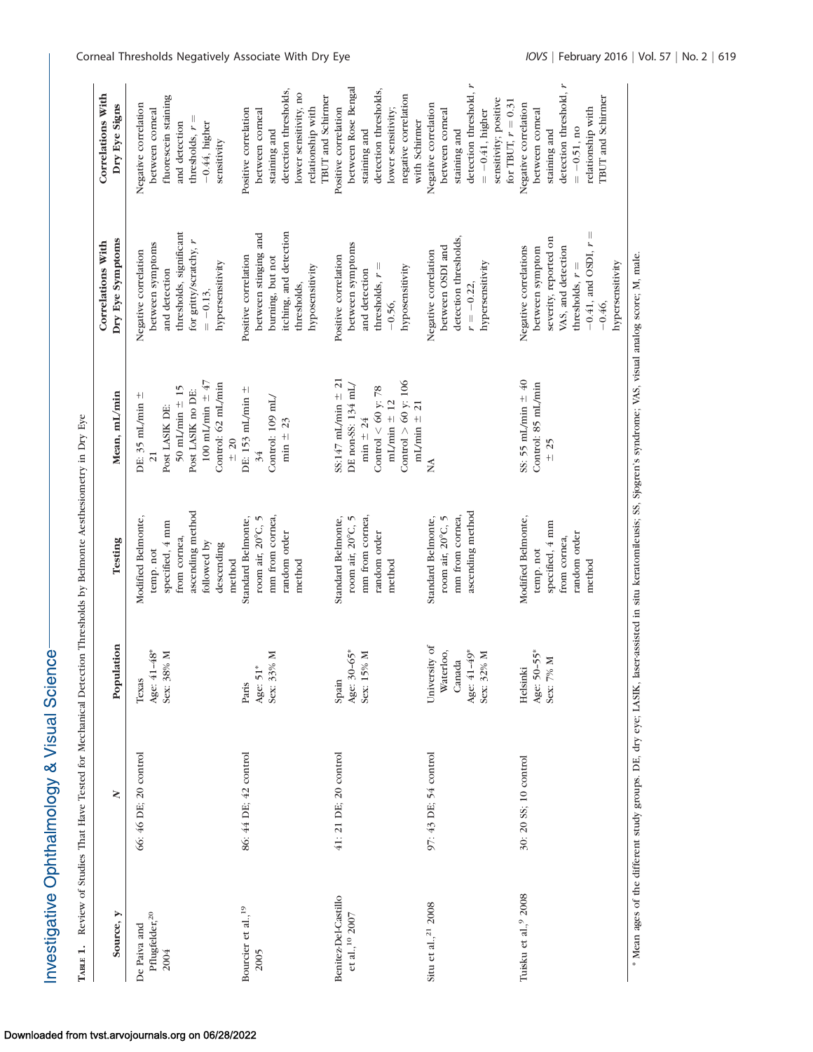| ТАВLЕ 1.                                           | Review of Studies That Have Tested for Mechanical Detection Thresholds by Belmonte Aesthesiometry in Dry Eye |                                                                   |                                                                                                                     |                                                                                                                                  |                                                                                                                                                 |                                                                                                                                                        |
|----------------------------------------------------|--------------------------------------------------------------------------------------------------------------|-------------------------------------------------------------------|---------------------------------------------------------------------------------------------------------------------|----------------------------------------------------------------------------------------------------------------------------------|-------------------------------------------------------------------------------------------------------------------------------------------------|--------------------------------------------------------------------------------------------------------------------------------------------------------|
| Source, y                                          | ≷                                                                                                            | Population                                                        | Testing                                                                                                             | Mean, mL/min                                                                                                                     | Dry Eye Symptoms<br>Correlations With                                                                                                           | Correlations With<br>Dry Eye Signs                                                                                                                     |
| Pflugfelder, <sup>20</sup><br>De Paiva and<br>2004 | 66: 46 DE; 20 control                                                                                        | Age: 41-48*<br>Sex: 38% M<br>Texas                                | ascending method<br>Modified Belmonte,<br>specified, 4 mm<br>from cornea,<br>followed by<br>descending<br>temp. not | 100 mL/min $\pm$ 47<br>Control: 62 mL/min<br>50 mL/min $\pm$ 15<br>Post LASIK no DE:<br>DE: $35$ mL/min $\pm$<br>Post LASIK DE:  | thresholds, significant<br>for gritty/scratchy, r<br>between symptoms<br>Negative correlation<br>hypersensitivity<br>and detection<br>$=-0.13,$ | fluorescein staining<br>Negative correlation<br>between corneal<br>thresholds, $r =$<br>$-0.44$ , higher<br>and detection<br>sensitivity               |
| Bourcier et al., <sup>19</sup><br>2005             | 86: 44 DE; 42 control                                                                                        | Sex: 33% M<br>Age: 51*<br>Paris                                   | mm from cornea,<br>Standard Belmonte,<br>room air, 20°C, 5<br>random order<br>method<br>method                      | DE: 153 mL/min $\pm$<br>Control: 109 mL/<br>min $\pm$ 23<br>$\pm 20$<br>34                                                       | itching, and detection<br>between stinging and<br>Positive correlation<br>burning, but not<br>hyposensitivity<br>thresholds,                    | detection thresholds,<br>lower sensitivity, no<br>relationship with<br>Positive correlation<br>between corneal<br>staining and                         |
| Benitez-Del-Castillo<br>et al., <sup>10</sup> 2007 | 41: 21 DE; 20 control                                                                                        | Age: 30-65*<br>15% M<br>Spain<br>Sex: 1                           | mm from cornea,<br>Standard Belmonte,<br>room air, 20°C, 5<br>random order<br>method                                | $Ss:147$ mL/min $\pm$ 21<br>Control $> 60$ y: 106<br>DE non-SS: 134 mL/<br>Control < $60$ y: 78<br>$mL/min = 12$<br>min $\pm 24$ | between symptoms<br>Positive correlation<br>thresholds, $r =$<br>hyposensitivity<br>and detection<br>$-0.56,$                                   | between Rose Bengal<br>detection thresholds,<br>negative correlation<br>TBUT and Schimer<br>Positive correlation<br>lower sensitivity;<br>staining and |
| Situ et al., <sup>21</sup> 2008                    | 97: 43 DE; 54 control                                                                                        | University of<br>Age: 41-49*<br>Waterloo,<br>Sex: 32% M<br>Canada | ascending method<br>Standard Belmonte,<br>mm from cornea,<br>room air, 20°C, 5                                      | mL/min $\pm$ 21                                                                                                                  | detection thresholds,<br>between OSDI and<br>Negative correlation<br>hypersensitivity<br>$r = -0.22$                                            | detection threshold, $r$<br>sensitivity; positive<br>Negative correlation<br>between corneal<br>$= -0.41$ , higher<br>with Schirmer<br>staining and    |
| Tuisku et al.,9 2008                               | 30: 20 SS; 10 control                                                                                        | Age: 50-55*<br>Sex: 7% M<br>Helsinki                              | Modified Belmonte,<br>specified, 4 mm<br>temp. not                                                                  | SS: 55 mL/min $\pm$ 40<br>Control: 85 mL/min<br>$\pm 25$                                                                         | severity, reported on<br>Negative correlations<br>between symptom                                                                               | for TBUT, $r = 0.31$<br>Negative correlation<br>between corneal<br>staining and                                                                        |

\* Mean ages of the different study groups. DE, dry eye; LASIK, laser-assisted in situ keratomileusis; SS, Sjogren's syndrome; VAS, visual analog score; M, male. \* Mean ages of the different study groups. DE, dry eye; LASIK, laser-assisted in situ keratomileusis; SS, Sjogren's syndrome; VAS, visual analog score; M, male.

temp. not specified, 4 mm from cornea, random order method

specified, 4 mm

random order from cornea,

between symptom severity, reported on VAS, and detection thresholds,  $r =$  $-0.41$ , and OSDI,  $r =$ 0.41, and OSDI,  $r =$ 

severity, reported on between symptom VAS, and detection

between corneal staining and detection threshold, r

staining and

ו<br>|

thresholds,  $r =$ 

0.51, no relationship with TBUT and Schirmer

relationship with<br>TBUT and Schirmer

detection threshold,  $\boldsymbol{r}$ 

-0.46, hypersensitivity

hypersensitivity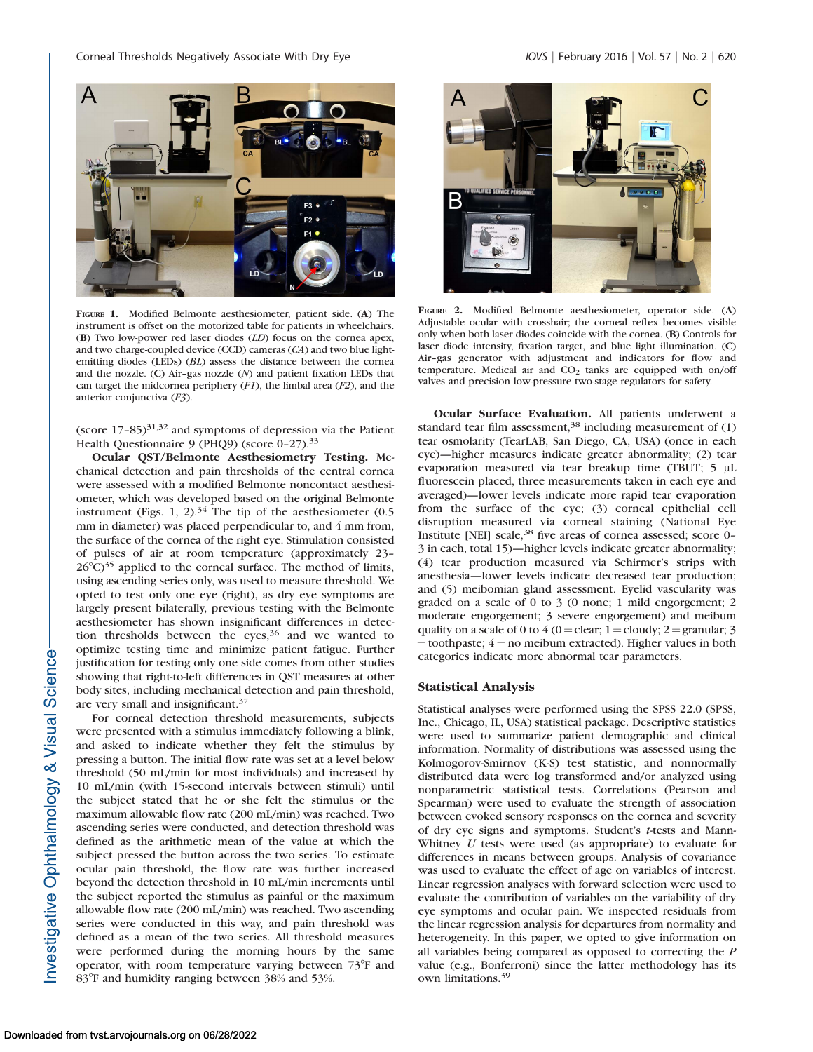

FIGURE 1. Modified Belmonte aesthesiometer, patient side. (A) The instrument is offset on the motorized table for patients in wheelchairs. (B) Two low-power red laser diodes (LD) focus on the cornea apex, and two charge-coupled device (CCD) cameras (CA) and two blue lightemitting diodes (LEDs) (BL) assess the distance between the cornea and the nozzle. (C) Air-gas nozzle  $(N)$  and patient fixation LEDs that can target the midcornea periphery  $(F1)$ , the limbal area  $(F2)$ , and the anterior conjunctiva (F3).

(score  $17-85$ )<sup>31,32</sup> and symptoms of depression via the Patient Health Questionnaire 9 (PHQ9) (score 0-27).<sup>33</sup>

Ocular QST/Belmonte Aesthesiometry Testing. Mechanical detection and pain thresholds of the central cornea were assessed with a modified Belmonte noncontact aesthesiometer, which was developed based on the original Belmonte instrument (Figs. 1, 2). $34$  The tip of the aesthesiometer (0.5) mm in diameter) was placed perpendicular to, and 4 mm from, the surface of the cornea of the right eye. Stimulation consisted of pulses of air at room temperature (approximately 23–  $26^{\circ}$ C)<sup>35</sup> applied to the corneal surface. The method of limits, using ascending series only, was used to measure threshold. We opted to test only one eye (right), as dry eye symptoms are largely present bilaterally, previous testing with the Belmonte aesthesiometer has shown insignificant differences in detection thresholds between the eyes,<sup>36</sup> and we wanted to optimize testing time and minimize patient fatigue. Further justification for testing only one side comes from other studies showing that right-to-left differences in QST measures at other body sites, including mechanical detection and pain threshold, are very small and insignificant.<sup>37</sup>

For corneal detection threshold measurements, subjects were presented with a stimulus immediately following a blink, and asked to indicate whether they felt the stimulus by pressing a button. The initial flow rate was set at a level below threshold (50 mL/min for most individuals) and increased by 10 mL/min (with 15-second intervals between stimuli) until the subject stated that he or she felt the stimulus or the maximum allowable flow rate (200 mL/min) was reached. Two ascending series were conducted, and detection threshold was defined as the arithmetic mean of the value at which the subject pressed the button across the two series. To estimate ocular pain threshold, the flow rate was further increased beyond the detection threshold in 10 mL/min increments until the subject reported the stimulus as painful or the maximum allowable flow rate (200 mL/min) was reached. Two ascending series were conducted in this way, and pain threshold was defined as a mean of the two series. All threshold measures were performed during the morning hours by the same operator, with room temperature varying between  $73^{\circ}$ F and 83°F and humidity ranging between 38% and 53%.



FIGURE 2. Modified Belmonte aesthesiometer, operator side. (A) Adjustable ocular with crosshair; the corneal reflex becomes visible only when both laser diodes coincide with the cornea. (B) Controls for laser diode intensity, fixation target, and blue light illumination. (C) Air–gas generator with adjustment and indicators for flow and temperature. Medical air and  $CO<sub>2</sub>$  tanks are equipped with on/off valves and precision low-pressure two-stage regulators for safety.

Ocular Surface Evaluation. All patients underwent a standard tear film assessment,  $38$  including measurement of (1) tear osmolarity (TearLAB, San Diego, CA, USA) (once in each eye)—higher measures indicate greater abnormality; (2) tear evaporation measured via tear breakup time (TBUT; 5 µL fluorescein placed, three measurements taken in each eye and averaged)—lower levels indicate more rapid tear evaporation from the surface of the eye; (3) corneal epithelial cell disruption measured via corneal staining (National Eye Institute [NEI] scale,<sup>38</sup> five areas of cornea assessed; score 0-3 in each, total 15)—higher levels indicate greater abnormality; (4) tear production measured via Schirmer's strips with anesthesia—lower levels indicate decreased tear production; and (5) meibomian gland assessment. Eyelid vascularity was graded on a scale of 0 to 3 (0 none; 1 mild engorgement; 2 moderate engorgement; 3 severe engorgement) and meibum quality on a scale of 0 to 4 (0 = clear; 1 = cloudy; 2 = granular; 3  $=$  toothpaste;  $4 =$  no meibum extracted). Higher values in both categories indicate more abnormal tear parameters.

## Statistical Analysis

Statistical analyses were performed using the SPSS 22.0 (SPSS, Inc., Chicago, IL, USA) statistical package. Descriptive statistics were used to summarize patient demographic and clinical information. Normality of distributions was assessed using the Kolmogorov-Smirnov (K-S) test statistic, and nonnormally distributed data were log transformed and/or analyzed using nonparametric statistical tests. Correlations (Pearson and Spearman) were used to evaluate the strength of association between evoked sensory responses on the cornea and severity of dry eye signs and symptoms. Student's t-tests and Mann-Whitney  $U$  tests were used (as appropriate) to evaluate for differences in means between groups. Analysis of covariance was used to evaluate the effect of age on variables of interest. Linear regression analyses with forward selection were used to evaluate the contribution of variables on the variability of dry eye symptoms and ocular pain. We inspected residuals from the linear regression analysis for departures from normality and heterogeneity. In this paper, we opted to give information on all variables being compared as opposed to correcting the P value (e.g., Bonferroni) since the latter methodology has its own limitations.<sup>39</sup>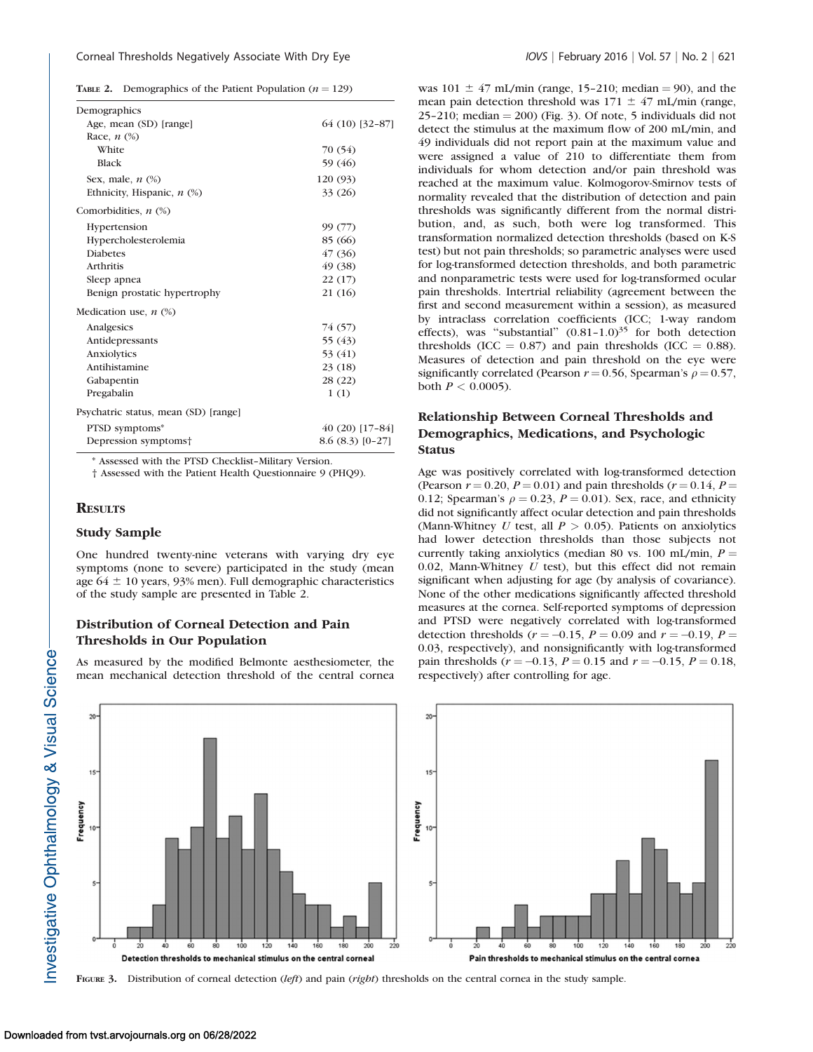## Corneal Thresholds Negatively Associate With Dry Eye Internatively 10VS | February 2016 | Vol. 57 | No. 2 | 621

|  | <b>TABLE 2.</b> Demographics of the Patient Population ( $n = 129$ ) |  |  |  |  |  |
|--|----------------------------------------------------------------------|--|--|--|--|--|
|--|----------------------------------------------------------------------|--|--|--|--|--|

| Demographics                         |                  |  |
|--------------------------------------|------------------|--|
| Age, mean (SD) [range]               | 64 (10) [32-87]  |  |
| Race, $n$ $(\%)$                     |                  |  |
| White                                | 70 (54)          |  |
| <b>Black</b>                         | 59 (46)          |  |
| Sex, male, $n$ $(\%)$                | 120 (93)         |  |
| Ethnicity, Hispanic, n (%)           | 33 (26)          |  |
| Comorbidities, $n$ $(\%)$            |                  |  |
| Hypertension                         | 99 (77)          |  |
| Hypercholesterolemia                 | 85 (66)          |  |
| <b>Diabetes</b>                      | 47 (36)          |  |
| Arthritis                            | 49 (38)          |  |
| Sleep apnea                          | 22 (17)          |  |
| Benign prostatic hypertrophy         | 21 (16)          |  |
| Medication use, $n$ (%)              |                  |  |
| Analgesics                           | 74 (57)          |  |
| Antidepressants                      | 55 (43)          |  |
| Anxiolytics                          | 53 (41)          |  |
| Antihistamine                        | 23 (18)          |  |
| Gabapentin                           | 28 (22)          |  |
| Pregabalin                           | 1(1)             |  |
| Psychatric status, mean (SD) [range] |                  |  |
| PTSD symptoms*                       | 40 (20) [17-84]  |  |
| Depression symptoms†                 | $8.6(8.3)[0-27]$ |  |
|                                      |                  |  |

\* Assessed with the PTSD Checklist–Military Version.

† Assessed with the Patient Health Questionnaire 9 (PHQ9).

## **RESULTS**

# Study Sample

One hundred twenty-nine veterans with varying dry eye symptoms (none to severe) participated in the study (mean age  $64 \pm 10$  years, 93% men). Full demographic characteristics of the study sample are presented in Table 2.

# Distribution of Corneal Detection and Pain Thresholds in Our Population

As measured by the modified Belmonte aesthesiometer, the mean mechanical detection threshold of the central cornea was  $101 \pm 47$  mL/min (range, 15-210; median = 90), and the mean pain detection threshold was  $171 \pm 47$  mL/min (range, 25–210; median  $=$  200) (Fig. 3). Of note, 5 individuals did not detect the stimulus at the maximum flow of 200 mL/min, and 49 individuals did not report pain at the maximum value and were assigned a value of 210 to differentiate them from individuals for whom detection and/or pain threshold was reached at the maximum value. Kolmogorov-Smirnov tests of normality revealed that the distribution of detection and pain thresholds was significantly different from the normal distribution, and, as such, both were log transformed. This transformation normalized detection thresholds (based on K-S test) but not pain thresholds; so parametric analyses were used for log-transformed detection thresholds, and both parametric and nonparametric tests were used for log-transformed ocular pain thresholds. Intertrial reliability (agreement between the first and second measurement within a session), as measured by intraclass correlation coefficients (ICC; 1-way random effects), was "substantial"  $(0.81-1.0)^{35}$  for both detection thresholds (ICC  $= 0.87$ ) and pain thresholds (ICC  $= 0.88$ ). Measures of detection and pain threshold on the eye were significantly correlated (Pearson  $r = 0.56$ , Spearman's  $\rho = 0.57$ , both  $P < 0.0005$ ).

# Relationship Between Corneal Thresholds and Demographics, Medications, and Psychologic **Status**

Age was positively correlated with log-transformed detection (Pearson  $r = 0.20$ ,  $P = 0.01$ ) and pain thresholds ( $r = 0.14$ ,  $P =$ 0.12; Spearman's  $\rho = 0.23$ ,  $P = 0.01$ ). Sex, race, and ethnicity did not significantly affect ocular detection and pain thresholds (Mann-Whitney U test, all  $P > 0.05$ ). Patients on anxiolytics had lower detection thresholds than those subjects not currently taking anxiolytics (median 80 vs. 100 mL/min,  $P =$ 0.02, Mann-Whitney  $U$  test), but this effect did not remain significant when adjusting for age (by analysis of covariance). None of the other medications significantly affected threshold measures at the cornea. Self-reported symptoms of depression and PTSD were negatively correlated with log-transformed detection thresholds ( $r = -0.15$ ,  $P = 0.09$  and  $r = -0.19$ ,  $P =$ 0.03, respectively), and nonsignificantly with log-transformed pain thresholds ( $r = -0.13$ ,  $P = 0.15$  and  $r = -0.15$ ,  $P = 0.18$ , respectively) after controlling for age.



FIGURE 3. Distribution of corneal detection (left) and pain (right) thresholds on the central cornea in the study sample.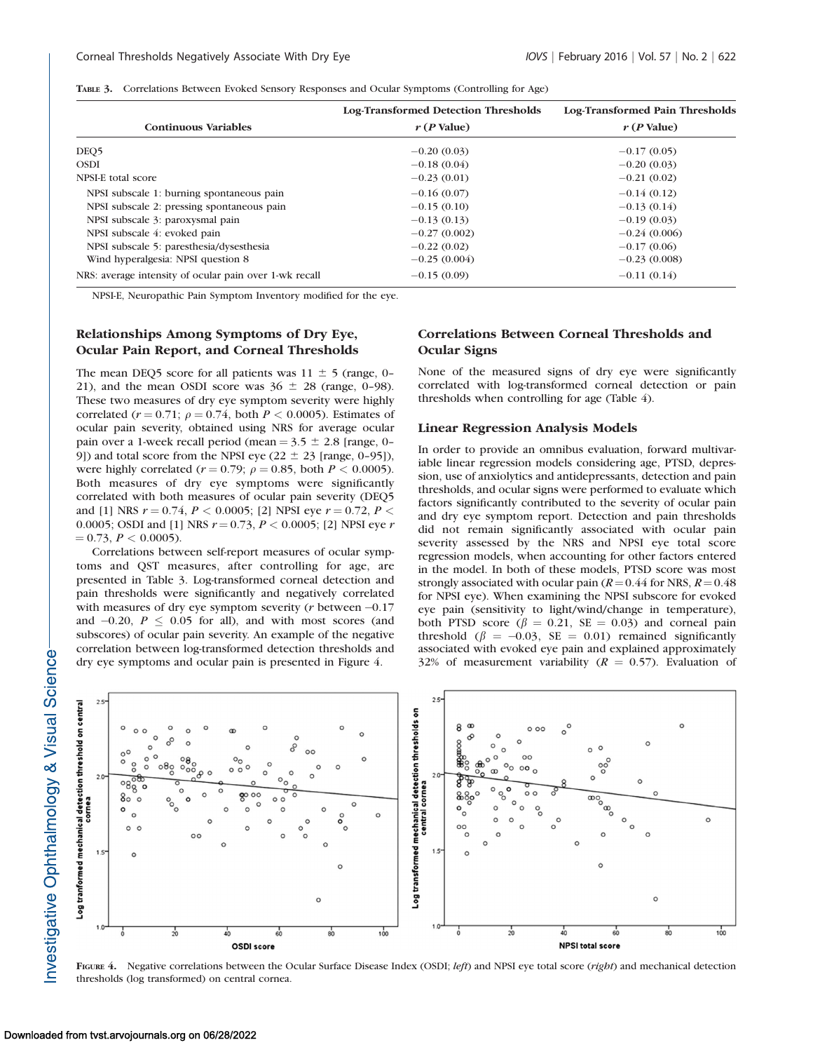|  |  |  | TABLE 3. Correlations Between Evoked Sensory Responses and Ocular Symptoms (Controlling for Age) |  |
|--|--|--|--------------------------------------------------------------------------------------------------|--|
|--|--|--|--------------------------------------------------------------------------------------------------|--|

|                                                        | Log-Transformed Detection Thresholds | Log-Transformed Pain Thresholds |
|--------------------------------------------------------|--------------------------------------|---------------------------------|
| <b>Continuous Variables</b>                            | $r(P$ Value)                         | $r(P$ Value)                    |
| DEQ <sub>5</sub>                                       | $-0.20(0.03)$                        | $-0.17(0.05)$                   |
| <b>OSDI</b>                                            | $-0.18(0.04)$                        | $-0.20(0.03)$                   |
| NPSI-E total score                                     | $-0.23(0.01)$                        | $-0.21(0.02)$                   |
| NPSI subscale 1: burning spontaneous pain              | $-0.16(0.07)$                        | $-0.14(0.12)$                   |
| NPSI subscale 2: pressing spontaneous pain             | $-0.15(0.10)$                        | $-0.13(0.14)$                   |
| NPSI subscale 3: paroxysmal pain                       | $-0.13(0.13)$                        | $-0.19(0.03)$                   |
| NPSI subscale 4: evoked pain                           | $-0.27(0.002)$                       | $-0.24(0.006)$                  |
| NPSI subscale 5: paresthesia/dysesthesia               | $-0.22(0.02)$                        | $-0.17(0.06)$                   |
| Wind hyperalgesia: NPSI question 8                     | $-0.25(0.004)$                       | $-0.23(0.008)$                  |
| NRS: average intensity of ocular pain over 1-wk recall | $-0.15(0.09)$                        | $-0.11(0.14)$                   |

NPSI-E, Neuropathic Pain Symptom Inventory modified for the eye.

# Relationships Among Symptoms of Dry Eye, Ocular Pain Report, and Corneal Thresholds

The mean DEQ5 score for all patients was  $11 \pm 5$  (range, 0– 21), and the mean OSDI score was  $36 \pm 28$  (range, 0-98). These two measures of dry eye symptom severity were highly correlated ( $r = 0.71$ ;  $\rho = 0.74$ , both  $P < 0.0005$ ). Estimates of ocular pain severity, obtained using NRS for average ocular pain over a 1-week recall period (mean  $= 3.5 \pm 2.8$  [range, 0– 9]) and total score from the NPSI eye (22  $\pm$  23 [range, 0–95]), were highly correlated ( $r = 0.79$ ;  $\rho = 0.85$ , both  $P < 0.0005$ ). Both measures of dry eye symptoms were significantly correlated with both measures of ocular pain severity (DEQ5 and [1] NRS  $r = 0.74$ ,  $P < 0.0005$ ; [2] NPSI eye  $r = 0.72$ ,  $P <$ 0.0005; OSDI and [1] NRS  $r = 0.73$ ,  $P < 0.0005$ ; [2] NPSI eye r  $= 0.73, P < 0.0005$ ).

Correlations between self-report measures of ocular symptoms and QST measures, after controlling for age, are presented in Table 3. Log-transformed corneal detection and pain thresholds were significantly and negatively correlated with measures of dry eye symptom severity (*r* between  $-0.17$ and  $-0.20$ ,  $P \le 0.05$  for all), and with most scores (and subscores) of ocular pain severity. An example of the negative correlation between log-transformed detection thresholds and dry eye symptoms and ocular pain is presented in Figure 4.

# Correlations Between Corneal Thresholds and Ocular Signs

None of the measured signs of dry eye were significantly correlated with log-transformed corneal detection or pain thresholds when controlling for age (Table 4).

#### Linear Regression Analysis Models

In order to provide an omnibus evaluation, forward multivariable linear regression models considering age, PTSD, depression, use of anxiolytics and antidepressants, detection and pain thresholds, and ocular signs were performed to evaluate which factors significantly contributed to the severity of ocular pain and dry eye symptom report. Detection and pain thresholds did not remain significantly associated with ocular pain severity assessed by the NRS and NPSI eye total score regression models, when accounting for other factors entered in the model. In both of these models, PTSD score was most strongly associated with ocular pain ( $R = 0.44$  for NRS,  $R = 0.48$ ) for NPSI eye). When examining the NPSI subscore for evoked eye pain (sensitivity to light/wind/change in temperature), both PTSD score ( $\beta = 0.21$ , SE = 0.03) and corneal pain threshold ( $\beta = -0.03$ , SE = 0.01) remained significantly associated with evoked eye pain and explained approximately 32% of measurement variability ( $R = 0.57$ ). Evaluation of



FIGURE 4. Negative correlations between the Ocular Surface Disease Index (OSDI; left) and NPSI eye total score (right) and mechanical detection thresholds (log transformed) on central cornea.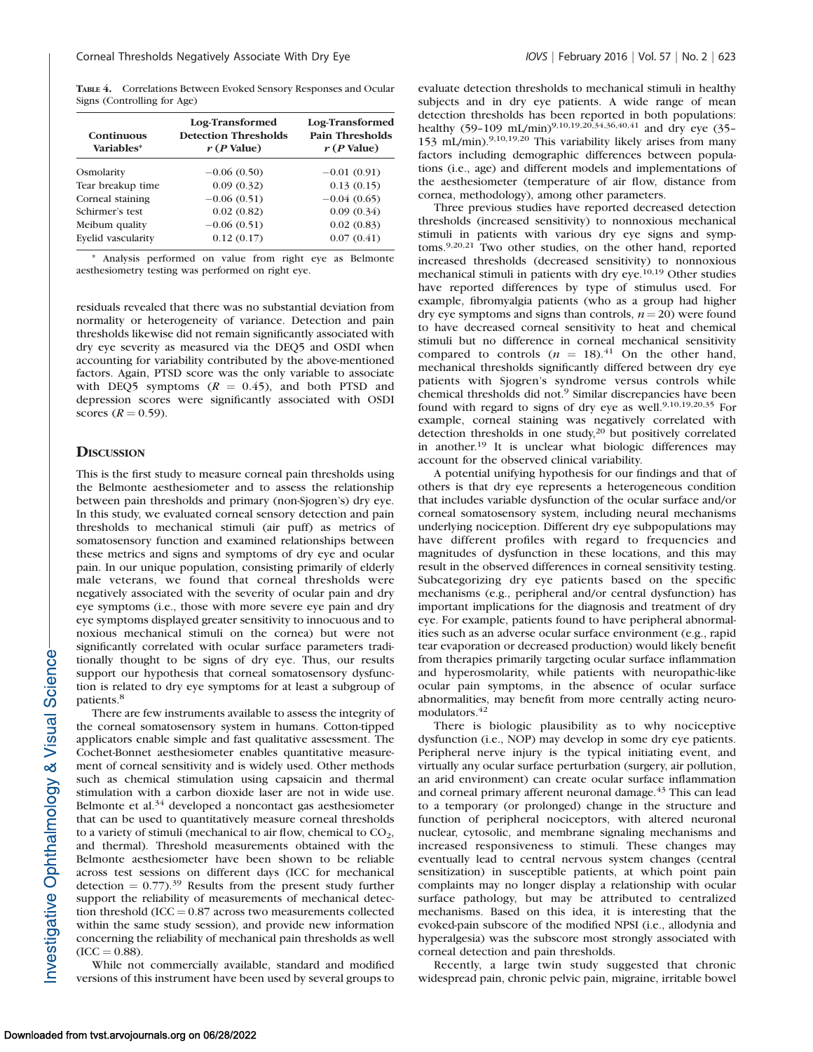TABLE 4. Correlations Between Evoked Sensory Responses and Ocular Signs (Controlling for Age)

| <b>Continuous</b><br>Variables* | Log-Transformed<br><b>Detection Thresholds</b><br>$r(P$ Value) | Log-Transformed<br>Pain Thresholds<br>$r(P$ Value) |
|---------------------------------|----------------------------------------------------------------|----------------------------------------------------|
| Osmolarity                      | $-0.06(0.50)$                                                  | $-0.01(0.91)$                                      |
| Tear breakup time               | 0.09(0.32)                                                     | 0.13(0.15)                                         |
| Corneal staining                | $-0.06(0.51)$                                                  | $-0.04(0.65)$                                      |
| Schirmer's test                 | 0.02(0.82)                                                     | 0.09(0.34)                                         |
| Meibum quality                  | $-0.06(0.51)$                                                  | 0.02(0.83)                                         |
| Evelid vascularity              | 0.12(0.17)                                                     | 0.07(0.41)                                         |

Analysis performed on value from right eye as Belmonte aesthesiometry testing was performed on right eye.

residuals revealed that there was no substantial deviation from normality or heterogeneity of variance. Detection and pain thresholds likewise did not remain significantly associated with dry eye severity as measured via the DEQ5 and OSDI when accounting for variability contributed by the above-mentioned factors. Again, PTSD score was the only variable to associate with DEQ5 symptoms  $(R = 0.45)$ , and both PTSD and depression scores were significantly associated with OSDI scores  $(R = 0.59)$ .

## **DISCUSSION**

This is the first study to measure corneal pain thresholds using the Belmonte aesthesiometer and to assess the relationship between pain thresholds and primary (non-Sjogren's) dry eye. In this study, we evaluated corneal sensory detection and pain thresholds to mechanical stimuli (air puff) as metrics of somatosensory function and examined relationships between these metrics and signs and symptoms of dry eye and ocular pain. In our unique population, consisting primarily of elderly male veterans, we found that corneal thresholds were negatively associated with the severity of ocular pain and dry eye symptoms (i.e., those with more severe eye pain and dry eye symptoms displayed greater sensitivity to innocuous and to noxious mechanical stimuli on the cornea) but were not significantly correlated with ocular surface parameters traditionally thought to be signs of dry eye. Thus, our results support our hypothesis that corneal somatosensory dysfunction is related to dry eye symptoms for at least a subgroup of patients.<sup>8</sup>

There are few instruments available to assess the integrity of the corneal somatosensory system in humans. Cotton-tipped applicators enable simple and fast qualitative assessment. The Cochet-Bonnet aesthesiometer enables quantitative measurement of corneal sensitivity and is widely used. Other methods such as chemical stimulation using capsaicin and thermal stimulation with a carbon dioxide laser are not in wide use. Belmonte et al.<sup>34</sup> developed a noncontact gas aesthesiometer that can be used to quantitatively measure corneal thresholds to a variety of stimuli (mechanical to air flow, chemical to  $CO<sub>2</sub>$ , and thermal). Threshold measurements obtained with the Belmonte aesthesiometer have been shown to be reliable across test sessions on different days (ICC for mechanical detection  $= 0.77$ ).<sup>39</sup> Results from the present study further support the reliability of measurements of mechanical detection threshold  $(ICC = 0.87$  across two measurements collected within the same study session), and provide new information concerning the reliability of mechanical pain thresholds as well  $(ICC = 0.88).$ 

While not commercially available, standard and modified versions of this instrument have been used by several groups to evaluate detection thresholds to mechanical stimuli in healthy subjects and in dry eye patients. A wide range of mean detection thresholds has been reported in both populations: healthy (59-109 mL/min)<sup>9,10,19,20,34,36,40,41</sup> and dry eye (35-153 mL/min).9,10,19,20 This variability likely arises from many factors including demographic differences between populations (i.e., age) and different models and implementations of the aesthesiometer (temperature of air flow, distance from cornea, methodology), among other parameters.

Three previous studies have reported decreased detection thresholds (increased sensitivity) to nonnoxious mechanical stimuli in patients with various dry eye signs and symptoms.9,20,21 Two other studies, on the other hand, reported increased thresholds (decreased sensitivity) to nonnoxious mechanical stimuli in patients with dry eye.10,19 Other studies have reported differences by type of stimulus used. For example, fibromyalgia patients (who as a group had higher dry eye symptoms and signs than controls,  $n = 20$ ) were found to have decreased corneal sensitivity to heat and chemical stimuli but no difference in corneal mechanical sensitivity compared to controls  $(n = 18)^{41}$  On the other hand, mechanical thresholds significantly differed between dry eye patients with Sjogren's syndrome versus controls while chemical thresholds did not.<sup>9</sup> Similar discrepancies have been found with regard to signs of dry eye as well.<sup>9,10,19,20,35</sup> For example, corneal staining was negatively correlated with detection thresholds in one study,<sup>20</sup> but positively correlated in another.19 It is unclear what biologic differences may account for the observed clinical variability.

A potential unifying hypothesis for our findings and that of others is that dry eye represents a heterogeneous condition that includes variable dysfunction of the ocular surface and/or corneal somatosensory system, including neural mechanisms underlying nociception. Different dry eye subpopulations may have different profiles with regard to frequencies and magnitudes of dysfunction in these locations, and this may result in the observed differences in corneal sensitivity testing. Subcategorizing dry eye patients based on the specific mechanisms (e.g., peripheral and/or central dysfunction) has important implications for the diagnosis and treatment of dry eye. For example, patients found to have peripheral abnormalities such as an adverse ocular surface environment (e.g., rapid tear evaporation or decreased production) would likely benefit from therapies primarily targeting ocular surface inflammation and hyperosmolarity, while patients with neuropathic-like ocular pain symptoms, in the absence of ocular surface abnormalities, may benefit from more centrally acting neuromodulators.<sup>42</sup>

There is biologic plausibility as to why nociceptive dysfunction (i.e., NOP) may develop in some dry eye patients. Peripheral nerve injury is the typical initiating event, and virtually any ocular surface perturbation (surgery, air pollution, an arid environment) can create ocular surface inflammation and corneal primary afferent neuronal damage.<sup>43</sup> This can lead to a temporary (or prolonged) change in the structure and function of peripheral nociceptors, with altered neuronal nuclear, cytosolic, and membrane signaling mechanisms and increased responsiveness to stimuli. These changes may eventually lead to central nervous system changes (central sensitization) in susceptible patients, at which point pain complaints may no longer display a relationship with ocular surface pathology, but may be attributed to centralized mechanisms. Based on this idea, it is interesting that the evoked-pain subscore of the modified NPSI (i.e., allodynia and hyperalgesia) was the subscore most strongly associated with corneal detection and pain thresholds.

Recently, a large twin study suggested that chronic widespread pain, chronic pelvic pain, migraine, irritable bowel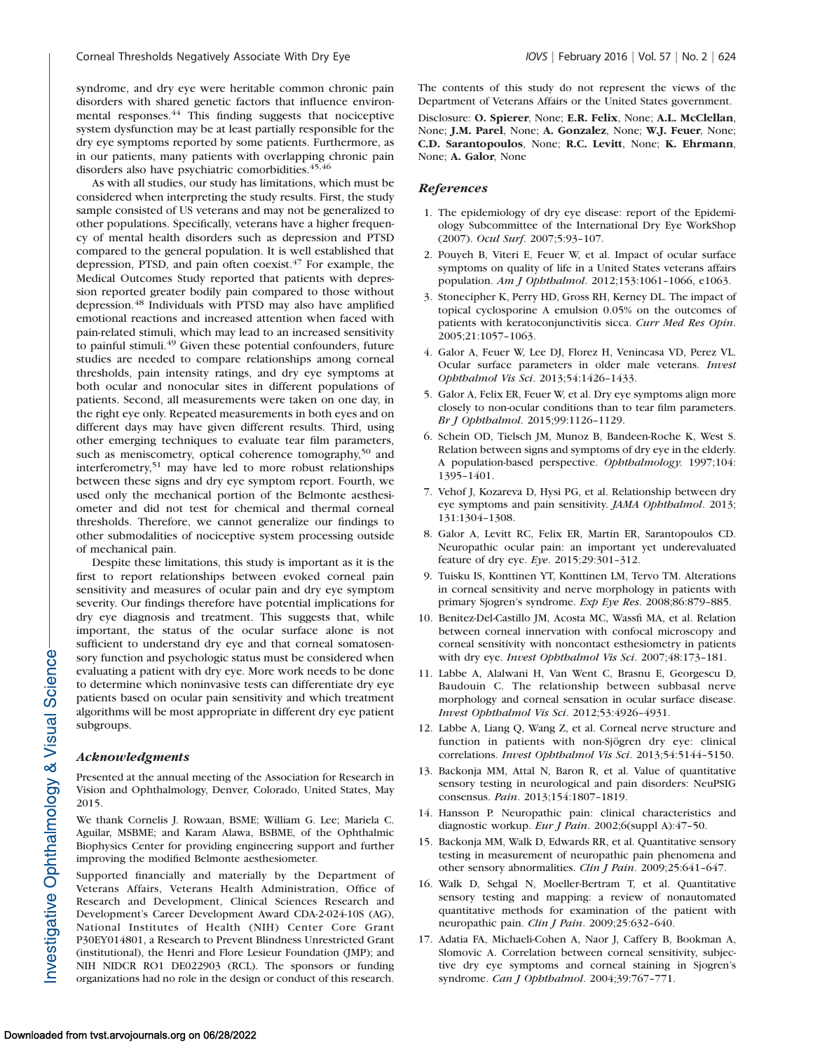syndrome, and dry eye were heritable common chronic pain disorders with shared genetic factors that influence environmental responses.<sup>44</sup> This finding suggests that nociceptive system dysfunction may be at least partially responsible for the dry eye symptoms reported by some patients. Furthermore, as in our patients, many patients with overlapping chronic pain disorders also have psychiatric comorbidities.<sup>45,46</sup>

As with all studies, our study has limitations, which must be considered when interpreting the study results. First, the study sample consisted of US veterans and may not be generalized to other populations. Specifically, veterans have a higher frequency of mental health disorders such as depression and PTSD compared to the general population. It is well established that depression, PTSD, and pain often coexist.<sup>47</sup> For example, the Medical Outcomes Study reported that patients with depression reported greater bodily pain compared to those without depression.<sup>48</sup> Individuals with PTSD may also have amplified emotional reactions and increased attention when faced with pain-related stimuli, which may lead to an increased sensitivity to painful stimuli.<sup>49</sup> Given these potential confounders, future studies are needed to compare relationships among corneal thresholds, pain intensity ratings, and dry eye symptoms at both ocular and nonocular sites in different populations of patients. Second, all measurements were taken on one day, in the right eye only. Repeated measurements in both eyes and on different days may have given different results. Third, using other emerging techniques to evaluate tear film parameters, such as meniscometry, optical coherence tomography,<sup>50</sup> and interferometry,51 may have led to more robust relationships between these signs and dry eye symptom report. Fourth, we used only the mechanical portion of the Belmonte aesthesiometer and did not test for chemical and thermal corneal thresholds. Therefore, we cannot generalize our findings to other submodalities of nociceptive system processing outside of mechanical pain.

Despite these limitations, this study is important as it is the first to report relationships between evoked corneal pain sensitivity and measures of ocular pain and dry eye symptom severity. Our findings therefore have potential implications for dry eye diagnosis and treatment. This suggests that, while important, the status of the ocular surface alone is not sufficient to understand dry eye and that corneal somatosensory function and psychologic status must be considered when evaluating a patient with dry eye. More work needs to be done to determine which noninvasive tests can differentiate dry eye patients based on ocular pain sensitivity and which treatment algorithms will be most appropriate in different dry eye patient subgroups.

#### Acknowledgments

Presented at the annual meeting of the Association for Research in Vision and Ophthalmology, Denver, Colorado, United States, May 2015.

We thank Cornelis J. Rowaan, BSME; William G. Lee; Mariela C. Aguilar, MSBME; and Karam Alawa, BSBME, of the Ophthalmic Biophysics Center for providing engineering support and further improving the modified Belmonte aesthesiometer.

Supported financially and materially by the Department of Veterans Affairs, Veterans Health Administration, Office of Research and Development, Clinical Sciences Research and Development's Career Development Award CDA-2-024-10S (AG), National Institutes of Health (NIH) Center Core Grant P30EY014801, a Research to Prevent Blindness Unrestricted Grant (institutional), the Henri and Flore Lesieur Foundation (JMP); and NIH NIDCR RO1 DE022903 (RCL). The sponsors or funding organizations had no role in the design or conduct of this research.

The contents of this study do not represent the views of the Department of Veterans Affairs or the United States government.

Disclosure: O. Spierer, None; E.R. Felix, None; A.L. McClellan, None; J.M. Parel, None; A. Gonzalez, None; W.J. Feuer, None; C.D. Sarantopoulos, None; R.C. Levitt, None; K. Ehrmann, None; A. Galor, None

### References

- 1. The epidemiology of dry eye disease: report of the Epidemiology Subcommittee of the International Dry Eye WorkShop (2007). Ocul Surf. 2007;5:93–107.
- 2. Pouyeh B, Viteri E, Feuer W, et al. Impact of ocular surface symptoms on quality of life in a United States veterans affairs population. Am J Ophthalmol. 2012;153:1061–1066, e1063.
- 3. Stonecipher K, Perry HD, Gross RH, Kerney DL. The impact of topical cyclosporine A emulsion 0.05% on the outcomes of patients with keratoconjunctivitis sicca. Curr Med Res Opin. 2005;21:1057–1063.
- 4. Galor A, Feuer W, Lee DJ, Florez H, Venincasa VD, Perez VL. Ocular surface parameters in older male veterans. Invest Ophthalmol Vis Sci. 2013;54:1426–1433.
- 5. Galor A, Felix ER, Feuer W, et al. Dry eye symptoms align more closely to non-ocular conditions than to tear film parameters. Br J Ophthalmol. 2015;99:1126–1129.
- 6. Schein OD, Tielsch JM, Munoz B, Bandeen-Roche K, West S. Relation between signs and symptoms of dry eye in the elderly. A population-based perspective. Ophthalmology. 1997;104: 1395–1401.
- 7. Vehof J, Kozareva D, Hysi PG, et al. Relationship between dry eye symptoms and pain sensitivity. JAMA Ophthalmol. 2013; 131:1304–1308.
- 8. Galor A, Levitt RC, Felix ER, Martin ER, Sarantopoulos CD. Neuropathic ocular pain: an important yet underevaluated feature of dry eye. Eye. 2015;29:301–312.
- 9. Tuisku IS, Konttinen YT, Konttinen LM, Tervo TM. Alterations in corneal sensitivity and nerve morphology in patients with primary Sjogren's syndrome. Exp Eye Res. 2008;86:879–885.
- 10. Benitez-Del-Castillo JM, Acosta MC, Wassfi MA, et al. Relation between corneal innervation with confocal microscopy and corneal sensitivity with noncontact esthesiometry in patients with dry eye. Invest Ophthalmol Vis Sci. 2007;48:173–181.
- 11. Labbe A, Alalwani H, Van Went C, Brasnu E, Georgescu D, Baudouin C. The relationship between subbasal nerve morphology and corneal sensation in ocular surface disease. Invest Ophthalmol Vis Sci. 2012;53:4926–4931.
- 12. Labbe A, Liang Q, Wang Z, et al. Corneal nerve structure and function in patients with non-Sjögren dry eye: clinical correlations. Invest Ophthalmol Vis Sci. 2013;54:5144–5150.
- 13. Backonja MM, Attal N, Baron R, et al. Value of quantitative sensory testing in neurological and pain disorders: NeuPSIG consensus. Pain. 2013;154:1807–1819.
- 14. Hansson P. Neuropathic pain: clinical characteristics and diagnostic workup. Eur J Pain. 2002;6(suppl A):47-50.
- 15. Backonja MM, Walk D, Edwards RR, et al. Quantitative sensory testing in measurement of neuropathic pain phenomena and other sensory abnormalities. Clin J Pain. 2009;25:641–647.
- 16. Walk D, Sehgal N, Moeller-Bertram T, et al. Quantitative sensory testing and mapping: a review of nonautomated quantitative methods for examination of the patient with neuropathic pain. Clin J Pain. 2009;25:632-640.
- 17. Adatia FA, Michaeli-Cohen A, Naor J, Caffery B, Bookman A, Slomovic A. Correlation between corneal sensitivity, subjective dry eye symptoms and corneal staining in Sjogren's syndrome. Can J Ophthalmol. 2004;39:767–771.